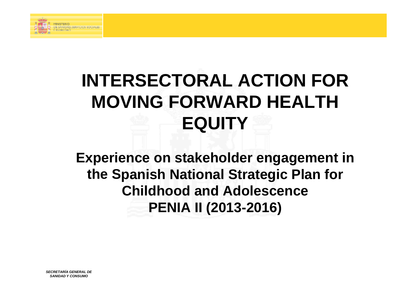

## **INTERSECTORAL ACTION FOR INTERSECTORAL FOR MOVING FORWARD HEALTH EQUITY**

**Experience on stakeholder engagement in the S p anish National Strategic Plan for Childhood and Adolescence PENIA II ( 2013-2016 )**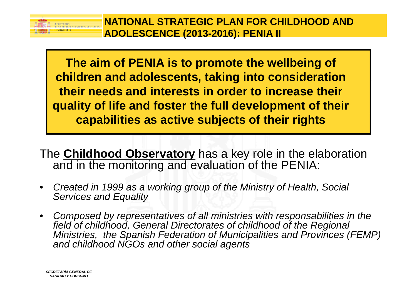

**The aim of PENIA is to promote the wellbeing of children and adolescents, taking into consideration consideration their needs and interests in order to increase their quality of life and foster the full development of their capabilities as active subjects of their rights** 

The **Childhood Observatory** has a key role in the elaboration and in the monitoring and evaluation of the PENIA:

- *Created in 1999 as a working group of the Ministry of Health, Social Services and Equality*
- *Composed by representatives of all ministries with responsabilities in the the field of childhood, General Directorates of childhood of the Regional Ministries, the Spanish Federation of Municipalities and Provinces (FEMP) and childhood NGOs and other social agents*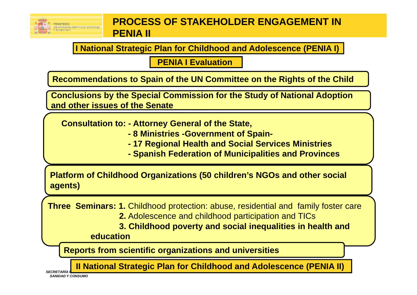

## **PROCESS OF STAKEHOLDER ENGAGEMENT IN PENIA II**

I National Strategic Plan for Childhood and Adolescence (PENIA I)

**PENIA I Evaluation** 

Recommendations to Spain of the UN Committee on the Rights of the Child

**Conclusions by the Special Commission for the Study of National Adoption** and other issues of the Senate

**Consultation to: - Attorney General of the State,** 

- 8 Ministries Government of Spain-
- 17 Regional Health and Social Services Ministries
- Spanish Federation of Municipalities and Provinces

**Platform of Childhood Organizations (50 children's NGOs and other social** agents)

**Three Seminars: 1.** Childhood protection: abuse, residential and family foster care

2. Adolescence and childhood participation and TICs

3. Childhood poverty and social inequalities in health and

education

**Reports from scientific organizations and universities** 

**Il National Strategic Plan for Childhood and Adolescence (PENIA II)** 

**SECRETARÍA SANIDAD Y CONSUMO**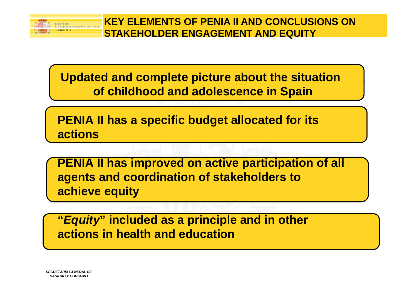

**Updated and complete picture about the situation of childhood and adolescence in Spain** 

**PENIA II has a specific budget allocated for its actions** 

**PENIA II has improved on active participation of all agents and coordination of stakeholders to achieve equity** 

**"***Equity***" included as a principle and in other actions in health and education**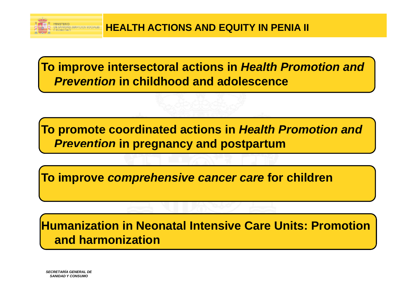

**To improve intersectoral actions in** *Health Promotion and Prevention Prevention* **in childhood and adolescence adolescence** 

**To promote coordinated actions in** *Health Promotion and*  **Prevention in pregnancy and postpartum** 

**To improve comprehensive cancer care for children** 

**Humanization in Neonatal Intensive Care Units: Promotion and harmonization**